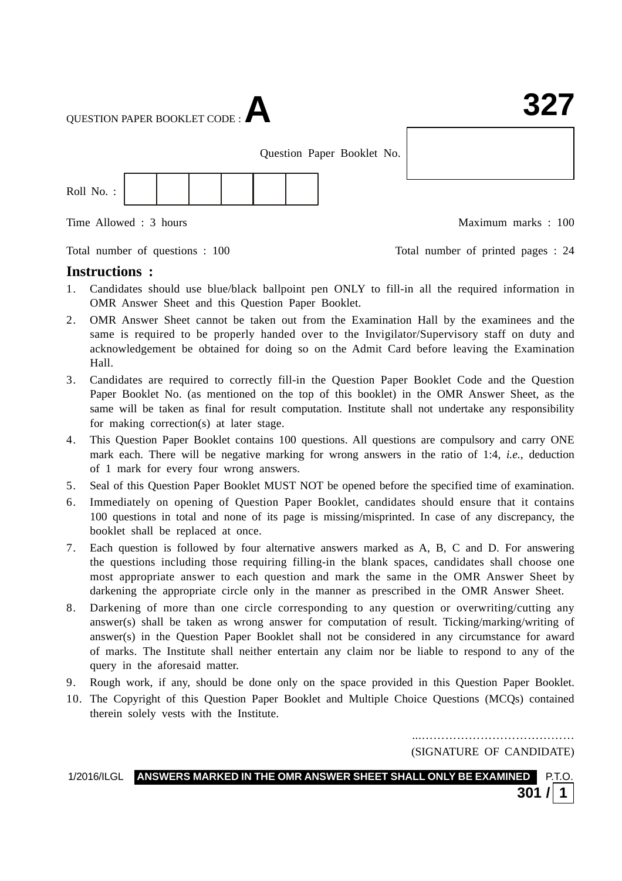QUESTION PAPER BOOKLET CODE :**A**

Question Paper Booklet No.



Time Allowed : 3 hours and the set of the Maximum marks : 100

Total number of questions : 100 Total number of printed pages : 24

#### **Instructions :**

- 1. Candidates should use blue/black ballpoint pen ONLY to fill-in all the required information in OMR Answer Sheet and this Question Paper Booklet.
- 2. OMR Answer Sheet cannot be taken out from the Examination Hall by the examinees and the same is required to be properly handed over to the Invigilator/Supervisory staff on duty and acknowledgement be obtained for doing so on the Admit Card before leaving the Examination Hall.
- 3. Candidates are required to correctly fill-in the Question Paper Booklet Code and the Question Paper Booklet No. (as mentioned on the top of this booklet) in the OMR Answer Sheet, as the same will be taken as final for result computation. Institute shall not undertake any responsibility for making correction(s) at later stage.
- 4. This Question Paper Booklet contains 100 questions. All questions are compulsory and carry ONE mark each. There will be negative marking for wrong answers in the ratio of 1:4, *i.e.*, deduction of 1 mark for every four wrong answers.
- 5. Seal of this Question Paper Booklet MUST NOT be opened before the specified time of examination.
- 6. Immediately on opening of Question Paper Booklet, candidates should ensure that it contains 100 questions in total and none of its page is missing/misprinted. In case of any discrepancy, the booklet shall be replaced at once.
- 7. Each question is followed by four alternative answers marked as A, B, C and D. For answering the questions including those requiring filling-in the blank spaces, candidates shall choose one most appropriate answer to each question and mark the same in the OMR Answer Sheet by darkening the appropriate circle only in the manner as prescribed in the OMR Answer Sheet.
- 8. Darkening of more than one circle corresponding to any question or overwriting/cutting any answer(s) shall be taken as wrong answer for computation of result. Ticking/marking/writing of answer(s) in the Question Paper Booklet shall not be considered in any circumstance for award of marks. The Institute shall neither entertain any claim nor be liable to respond to any of the query in the aforesaid matter.
- 9. Rough work, if any, should be done only on the space provided in this Question Paper Booklet.
- 10. The Copyright of this Question Paper Booklet and Multiple Choice Questions (MCQs) contained therein solely vests with the Institute.

...………………………………… (SIGNATURE OF CANDIDATE)

1/2016/ILGL **ANSWERS MARKED IN THE OMR ANSWER SHEET SHALL ONLY BE EXAMINED** P.T.O. **301 / 1**

## : 1 : **327**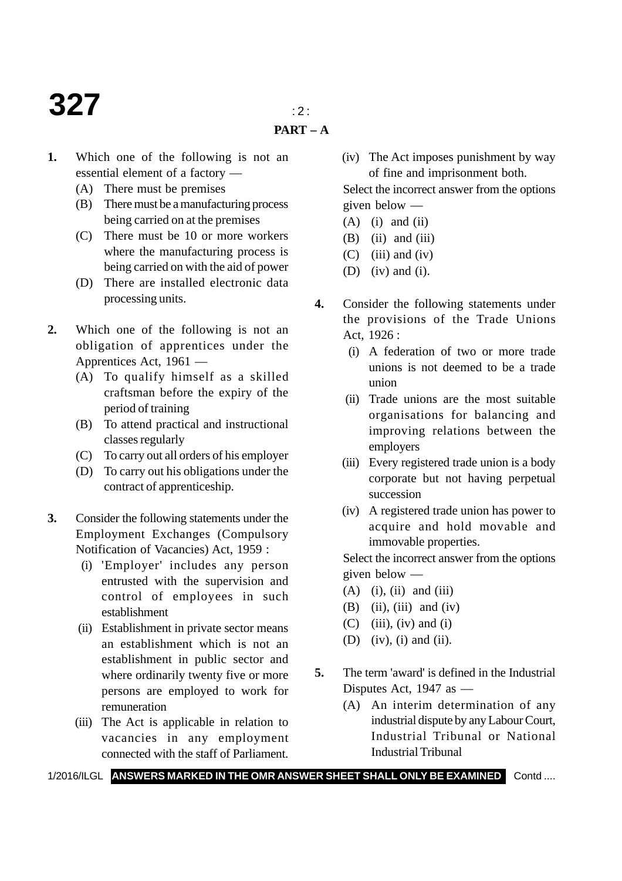## **327**  $\frac{1}{2}$

- **PART A**
- **1.** Which one of the following is not an essential element of a factory —
	- (A) There must be premises
	- (B) There must be a manufacturing process being carried on at the premises
	- (C) There must be 10 or more workers where the manufacturing process is being carried on with the aid of power
	- (D) There are installed electronic data processing units.
- **2.** Which one of the following is not an obligation of apprentices under the Apprentices Act, 1961 —
	- (A) To qualify himself as a skilled craftsman before the expiry of the period of training
	- (B) To attend practical and instructional classes regularly
	- (C) To carry out all orders of his employer
	- (D) To carry out his obligations under the contract of apprenticeship.
- **3.** Consider the following statements under the Employment Exchanges (Compulsory Notification of Vacancies) Act, 1959 :
	- (i) 'Employer' includes any person entrusted with the supervision and control of employees in such establishment
	- (ii) Establishment in private sector means an establishment which is not an establishment in public sector and where ordinarily twenty five or more persons are employed to work for remuneration
	- (iii) The Act is applicable in relation to vacancies in any employment connected with the staff of Parliament.

(iv) The Act imposes punishment by way of fine and imprisonment both.

Select the incorrect answer from the options given below —

- $(A)$  (i) and (ii)
- $(B)$  (ii) and (iii)
- $(C)$  (iii) and (iv)
- (D) (iv) and (i).
- **4.** Consider the following statements under the provisions of the Trade Unions Act, 1926 :
	- (i) A federation of two or more trade unions is not deemed to be a trade union
	- (ii) Trade unions are the most suitable organisations for balancing and improving relations between the employers
	- (iii) Every registered trade union is a body corporate but not having perpetual succession
	- (iv) A registered trade union has power to acquire and hold movable and immovable properties.

Select the incorrect answer from the options given below —

- $(A)$  (i), (ii) and (iii)
- $(B)$  (ii), (iii) and (iv)
- $(C)$  (iii), (iv) and (i)
- (D) (iv), (i) and (ii).
- **5.** The term 'award' is defined in the Industrial Disputes Act, 1947 as —
	- (A) An interim determination of any industrial dispute by any Labour Court, Industrial Tribunal or National Industrial Tribunal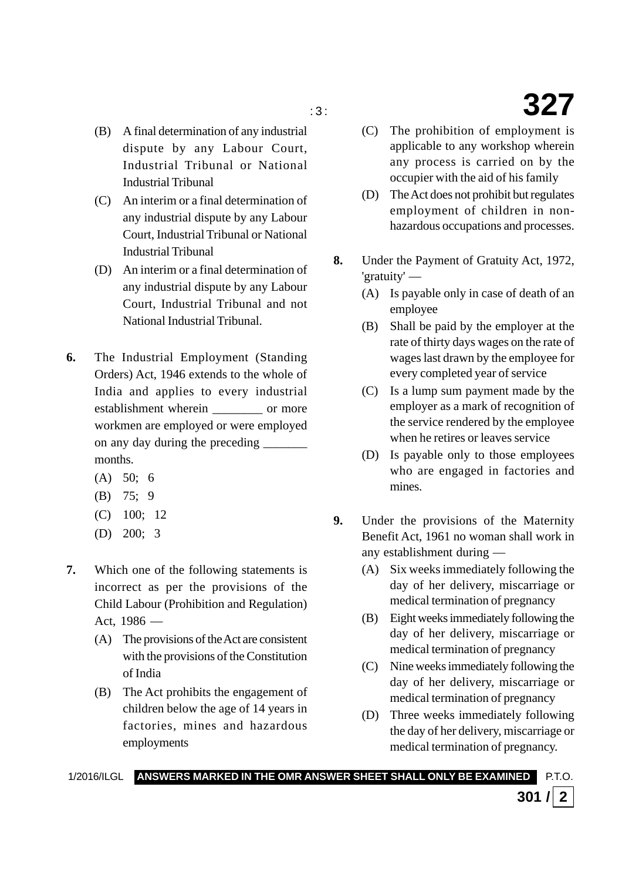- (B) A final determination of any industrial dispute by any Labour Court, Industrial Tribunal or National Industrial Tribunal
- (C) An interim or a final determination of any industrial dispute by any Labour Court, Industrial Tribunal or National Industrial Tribunal
- (D) An interim or a final determination of any industrial dispute by any Labour Court, Industrial Tribunal and not National Industrial Tribunal.
- **6.** The Industrial Employment (Standing Orders) Act, 1946 extends to the whole of India and applies to every industrial establishment wherein or more workmen are employed or were employed on any day during the preceding months.
	- $(A)$  50; 6
	- (B) 75; 9
	- (C) 100; 12
	- (D) 200; 3
- **7.** Which one of the following statements is incorrect as per the provisions of the Child Labour (Prohibition and Regulation) Act, 1986 —
	- (A) The provisions of the Act are consistent with the provisions of the Constitution of India
	- (B) The Act prohibits the engagement of children below the age of 14 years in factories, mines and hazardous employments

 $\frac{327}{ }$ 

- (C) The prohibition of employment is applicable to any workshop wherein any process is carried on by the occupier with the aid of his family
- (D) The Act does not prohibit but regulates employment of children in nonhazardous occupations and processes.
- **8.** Under the Payment of Gratuity Act, 1972, 'gratuity' —
	- (A) Is payable only in case of death of an employee
	- (B) Shall be paid by the employer at the rate of thirty days wages on the rate of wages last drawn by the employee for every completed year of service
	- (C) Is a lump sum payment made by the employer as a mark of recognition of the service rendered by the employee when he retires or leaves service
	- (D) Is payable only to those employees who are engaged in factories and mines.
- **9.** Under the provisions of the Maternity Benefit Act, 1961 no woman shall work in any establishment during —
	- (A) Six weeks immediately following the day of her delivery, miscarriage or medical termination of pregnancy
	- (B) Eight weeks immediately following the day of her delivery, miscarriage or medical termination of pregnancy
	- (C) Nine weeks immediately following the day of her delivery, miscarriage or medical termination of pregnancy
	- (D) Three weeks immediately following the day of her delivery, miscarriage or medical termination of pregnancy.

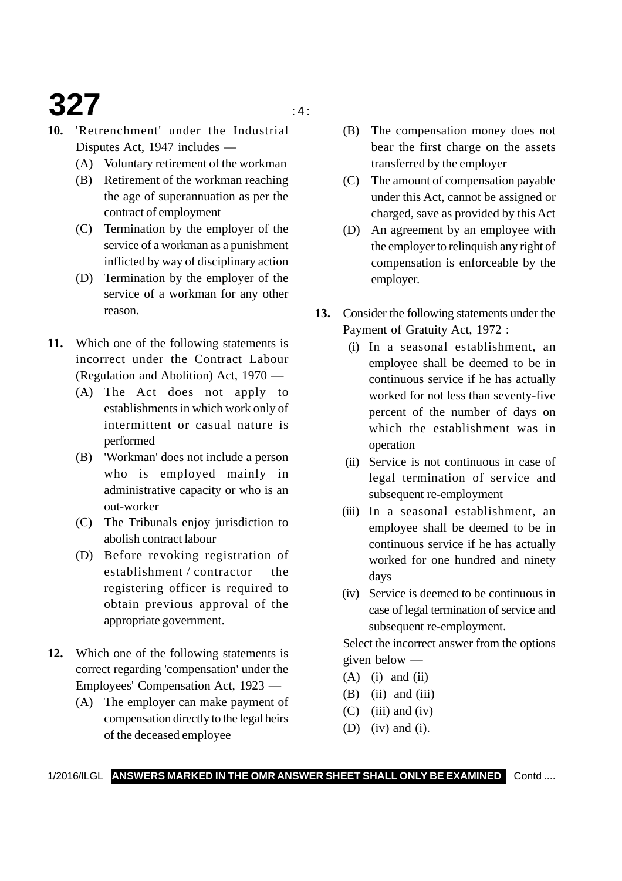# **327 127 127 127 127 127**

- **10.** 'Retrenchment' under the Industrial Disputes Act, 1947 includes —
	- (A) Voluntary retirement of the workman
	- (B) Retirement of the workman reaching the age of superannuation as per the contract of employment
	- (C) Termination by the employer of the service of a workman as a punishment inflicted by way of disciplinary action
	- (D) Termination by the employer of the service of a workman for any other reason.
- **11.** Which one of the following statements is incorrect under the Contract Labour (Regulation and Abolition) Act, 1970 —
	- (A) The Act does not apply to establishments in which work only of intermittent or casual nature is performed
	- (B) 'Workman' does not include a person who is employed mainly in administrative capacity or who is an out-worker
	- (C) The Tribunals enjoy jurisdiction to abolish contract labour
	- (D) Before revoking registration of establishment / contractor the registering officer is required to obtain previous approval of the appropriate government.
- **12.** Which one of the following statements is correct regarding 'compensation' under the Employees' Compensation Act, 1923 —
	- (A) The employer can make payment of compensation directly to the legal heirs of the deceased employee
- (B) The compensation money does not bear the first charge on the assets transferred by the employer
- (C) The amount of compensation payable under this Act, cannot be assigned or charged, save as provided by this Act
- (D) An agreement by an employee with the employer to relinquish any right of compensation is enforceable by the employer.
- **13.** Consider the following statements under the Payment of Gratuity Act, 1972 :
	- (i) In a seasonal establishment, an employee shall be deemed to be in continuous service if he has actually worked for not less than seventy-five percent of the number of days on which the establishment was in operation
	- (ii) Service is not continuous in case of legal termination of service and subsequent re-employment
	- (iii) In a seasonal establishment, an employee shall be deemed to be in continuous service if he has actually worked for one hundred and ninety days
	- (iv) Service is deemed to be continuous in case of legal termination of service and subsequent re-employment.

Select the incorrect answer from the options given below —

- $(A)$  (i) and (ii)
- $(B)$  (ii) and (iii)
- $(C)$  (iii) and (iv)
- 
- (D) (iv) and (i).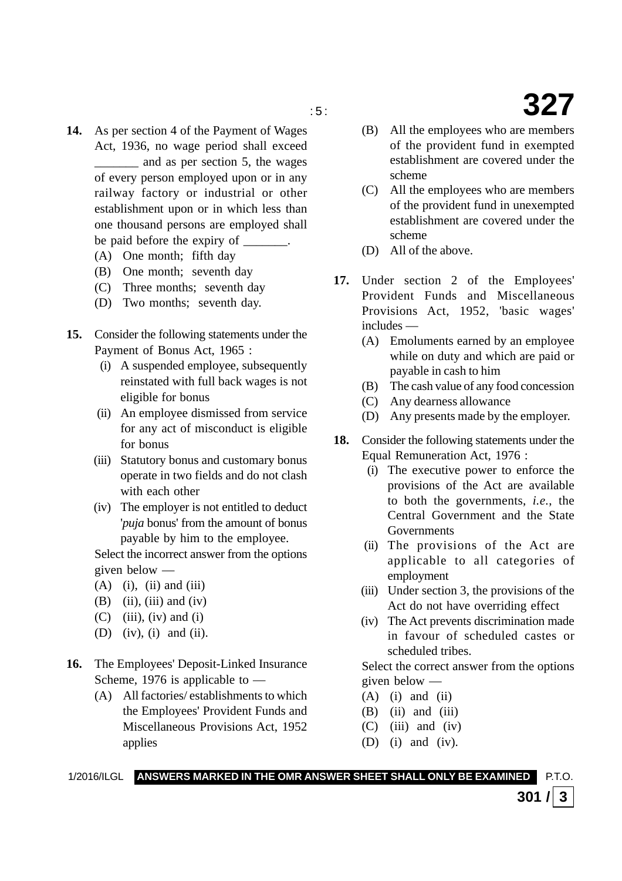- **14.** As per section 4 of the Payment of Wages Act, 1936, no wage period shall exceed \_\_\_\_\_\_\_ and as per section 5, the wages of every person employed upon or in any railway factory or industrial or other establishment upon or in which less than one thousand persons are employed shall be paid before the expiry of \_\_\_\_\_\_\_.
	- (A) One month; fifth day
	- (B) One month; seventh day
	- (C) Three months; seventh day
	- (D) Two months; seventh day.
- **15.** Consider the following statements under the Payment of Bonus Act, 1965 :
	- (i) A suspended employee, subsequently reinstated with full back wages is not eligible for bonus
	- (ii) An employee dismissed from service for any act of misconduct is eligible for bonus
	- (iii) Statutory bonus and customary bonus operate in two fields and do not clash with each other
	- (iv) The employer is not entitled to deduct '*puja* bonus' from the amount of bonus payable by him to the employee.

Select the incorrect answer from the options given below —

- $(A)$  (i), (ii) and (iii)
- $(B)$  (ii), (iii) and (iv)
- $(C)$  (iii), (iv) and (i)
- (D) (iv), (i) and (ii).
- **16.** The Employees' Deposit-Linked Insurance Scheme, 1976 is applicable to  $-$ 
	- (A) All factories/ establishments to which the Employees' Provident Funds and Miscellaneous Provisions Act, 1952 applies
- (B) All the employees who are members of the provident fund in exempted establishment are covered under the scheme
- (C) All the employees who are members of the provident fund in unexempted establishment are covered under the scheme
- (D) All of the above.
- **17.** Under section 2 of the Employees' Provident Funds and Miscellaneous Provisions Act, 1952, 'basic wages' includes —
	- (A) Emoluments earned by an employee while on duty and which are paid or payable in cash to him
	- (B) The cash value of any food concession
	- (C) Any dearness allowance
	- (D) Any presents made by the employer.
- **18.** Consider the following statements under the Equal Remuneration Act, 1976 :
	- (i) The executive power to enforce the provisions of the Act are available to both the governments, *i.e.*, the Central Government and the State Governments
	- (ii) The provisions of the Act are applicable to all categories of employment
	- (iii) Under section 3, the provisions of the Act do not have overriding effect
	- (iv) The Act prevents discrimination made in favour of scheduled castes or scheduled tribes.

Select the correct answer from the options given below —

 $301$  /  $3$ 

- $(A)$  (i) and (ii)
- $(B)$  (ii) and (iii)
- $(C)$  (iii) and (iv)
- (D) (i) and (iv).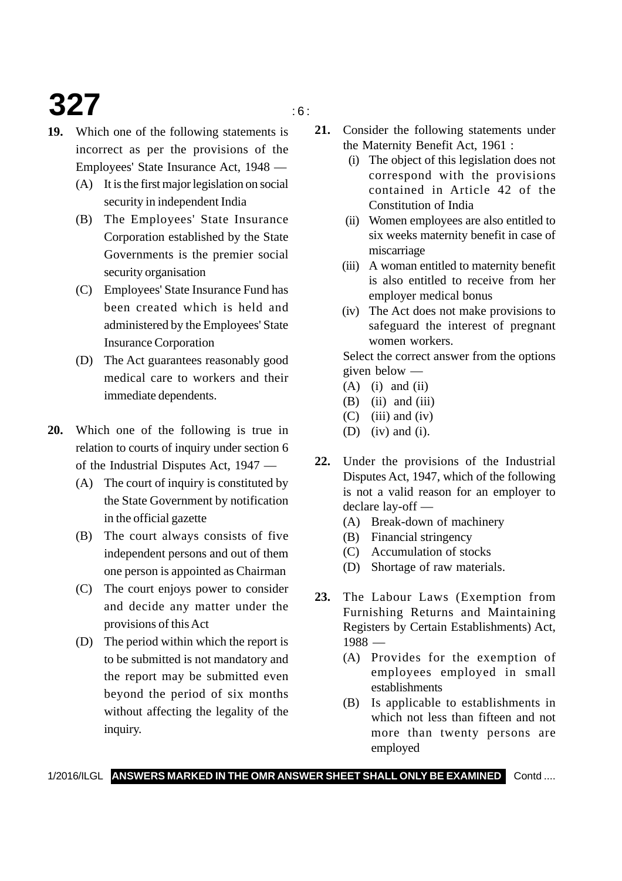# **327** is a set of  $\frac{1}{2}$

**19.** Which one of the following statements is incorrect as per the provisions of the Employees' State Insurance Act, 1948 —

- (A) It is the first major legislation on social security in independent India
- (B) The Employees' State Insurance Corporation established by the State Governments is the premier social security organisation
- (C) Employees' State Insurance Fund has been created which is held and administered by the Employees' State Insurance Corporation
- (D) The Act guarantees reasonably good medical care to workers and their immediate dependents.
- **20.** Which one of the following is true in relation to courts of inquiry under section 6 of the Industrial Disputes Act, 1947 —
	- (A) The court of inquiry is constituted by the State Government by notification in the official gazette
	- (B) The court always consists of five independent persons and out of them one person is appointed as Chairman
	- (C) The court enjoys power to consider and decide any matter under the provisions of this Act
	- (D) The period within which the report is to be submitted is not mandatory and the report may be submitted even beyond the period of six months without affecting the legality of the inquiry.
- **21.** Consider the following statements under the Maternity Benefit Act, 1961 :
	- (i) The object of this legislation does not correspond with the provisions contained in Article 42 of the Constitution of India
	- (ii) Women employees are also entitled to six weeks maternity benefit in case of miscarriage
	- (iii) A woman entitled to maternity benefit is also entitled to receive from her employer medical bonus
	- (iv) The Act does not make provisions to safeguard the interest of pregnant women workers.

Select the correct answer from the options given below —

- $(A)$  (i) and (ii)
- $(B)$  (ii) and (iii)
- $(C)$  (iii) and (iv)
- (D) (iv) and (i).
- **22.** Under the provisions of the Industrial Disputes Act, 1947, which of the following is not a valid reason for an employer to declare lay-off —
	- (A) Break-down of machinery
	- (B) Financial stringency
	- (C) Accumulation of stocks
	- (D) Shortage of raw materials.
- **23.** The Labour Laws (Exemption from Furnishing Returns and Maintaining Registers by Certain Establishments) Act, 1988 —
	- (A) Provides for the exemption of employees employed in small establishments
	- (B) Is applicable to establishments in which not less than fifteen and not more than twenty persons are employed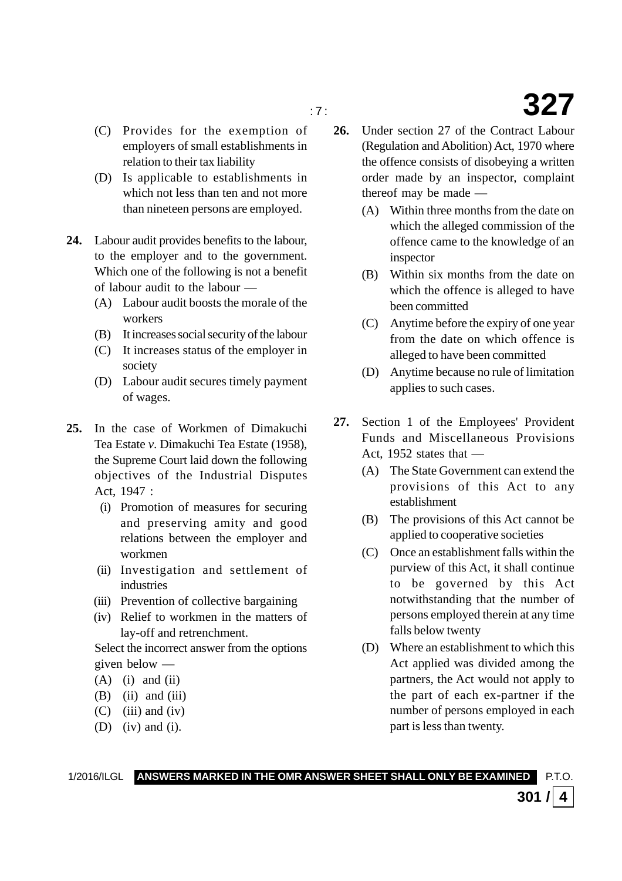- (C) Provides for the exemption of employers of small establishments in relation to their tax liability
- (D) Is applicable to establishments in which not less than ten and not more than nineteen persons are employed.
- **24.** Labour audit provides benefits to the labour, to the employer and to the government. Which one of the following is not a benefit of labour audit to the labour —
	- (A) Labour audit boosts the morale of the workers
	- (B) It increases social security of the labour
	- (C) It increases status of the employer in society
	- (D) Labour audit secures timely payment of wages.
- **25.** In the case of Workmen of Dimakuchi Tea Estate *v*. Dimakuchi Tea Estate (1958), the Supreme Court laid down the following objectives of the Industrial Disputes Act, 1947 :
	- (i) Promotion of measures for securing and preserving amity and good relations between the employer and workmen
	- (ii) Investigation and settlement of industries
	- (iii) Prevention of collective bargaining
	- (iv) Relief to workmen in the matters of lay-off and retrenchment.

Select the incorrect answer from the options given below —

- $(A)$  (i) and (ii)
- $(B)$  (ii) and (iii)
- $(C)$  (iii) and (iv)
- (D) (iv) and (i).
- **26.** Under section 27 of the Contract Labour (Regulation and Abolition) Act, 1970 where the offence consists of disobeying a written order made by an inspector, complaint thereof may be made —
	- (A) Within three months from the date on which the alleged commission of the offence came to the knowledge of an inspector
	- (B) Within six months from the date on which the offence is alleged to have been committed
	- (C) Anytime before the expiry of one year from the date on which offence is alleged to have been committed
	- (D) Anytime because no rule of limitation applies to such cases.
- **27.** Section 1 of the Employees' Provident Funds and Miscellaneous Provisions Act,  $1952$  states that —
	- (A) The State Government can extend the provisions of this Act to any establishment
	- (B) The provisions of this Act cannot be applied to cooperative societies
	- (C) Once an establishment falls within the purview of this Act, it shall continue to be governed by this Act notwithstanding that the number of persons employed therein at any time falls below twenty
	- (D) Where an establishment to which this Act applied was divided among the partners, the Act would not apply to the part of each ex-partner if the number of persons employed in each part is less than twenty.

**301** /  $\vert$  4

1/2016/ILGL **ANSWERS MARKED IN THE OMR ANSWER SHEET SHALL ONLY BE EXAMINED** P.T.O.

### **327**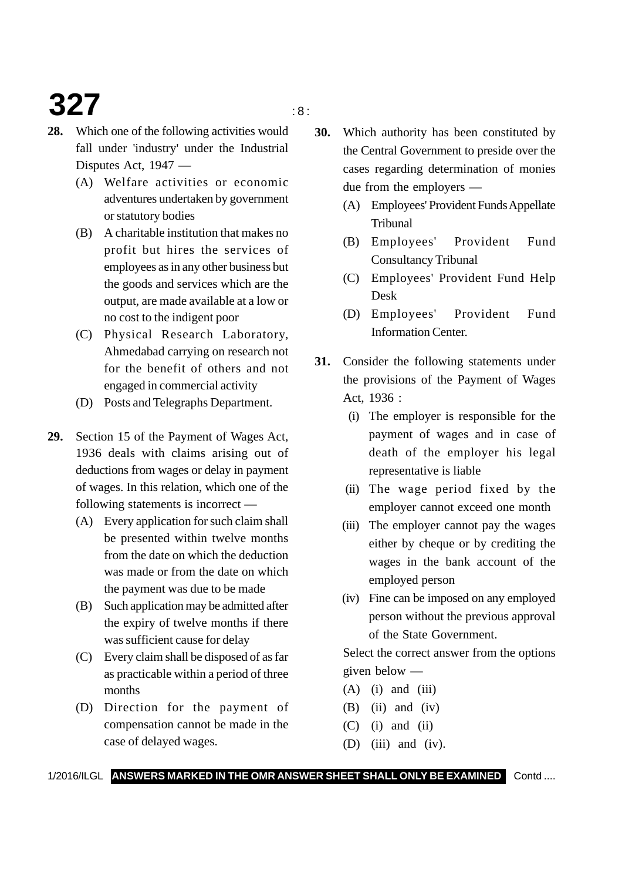# **327** is a set of  $\frac{1}{2}$

- **28.** Which one of the following activities would fall under 'industry' under the Industrial Disputes Act, 1947 —
	- (A) Welfare activities or economic adventures undertaken by government or statutory bodies
	- (B) A charitable institution that makes no profit but hires the services of employees as in any other business but the goods and services which are the output, are made available at a low or no cost to the indigent poor
	- (C) Physical Research Laboratory, Ahmedabad carrying on research not for the benefit of others and not engaged in commercial activity
	- (D) Posts and Telegraphs Department.
- **29.** Section 15 of the Payment of Wages Act, 1936 deals with claims arising out of deductions from wages or delay in payment of wages. In this relation, which one of the following statements is incorrect —
	- (A) Every application for such claim shall be presented within twelve months from the date on which the deduction was made or from the date on which the payment was due to be made
	- (B) Such application may be admitted after the expiry of twelve months if there was sufficient cause for delay
	- (C) Every claim shall be disposed of as far as practicable within a period of three months
	- (D) Direction for the payment of compensation cannot be made in the case of delayed wages.
- **30.** Which authority has been constituted by the Central Government to preside over the cases regarding determination of monies due from the employers —
	- (A) Employees' Provident Funds Appellate Tribunal
	- (B) Employees' Provident Fund Consultancy Tribunal
	- (C) Employees' Provident Fund Help Desk
	- (D) Employees' Provident Fund Information Center.
- **31.** Consider the following statements under the provisions of the Payment of Wages Act, 1936 :
	- (i) The employer is responsible for the payment of wages and in case of death of the employer his legal representative is liable
	- (ii) The wage period fixed by the employer cannot exceed one month
	- (iii) The employer cannot pay the wages either by cheque or by crediting the wages in the bank account of the employed person
	- (iv) Fine can be imposed on any employed person without the previous approval of the State Government.

Select the correct answer from the options given below —

- $(A)$  (i) and (iii)
- $(B)$  (ii) and (iv)
- $(C)$  (i) and (ii)
- (D) (iii) and (iv).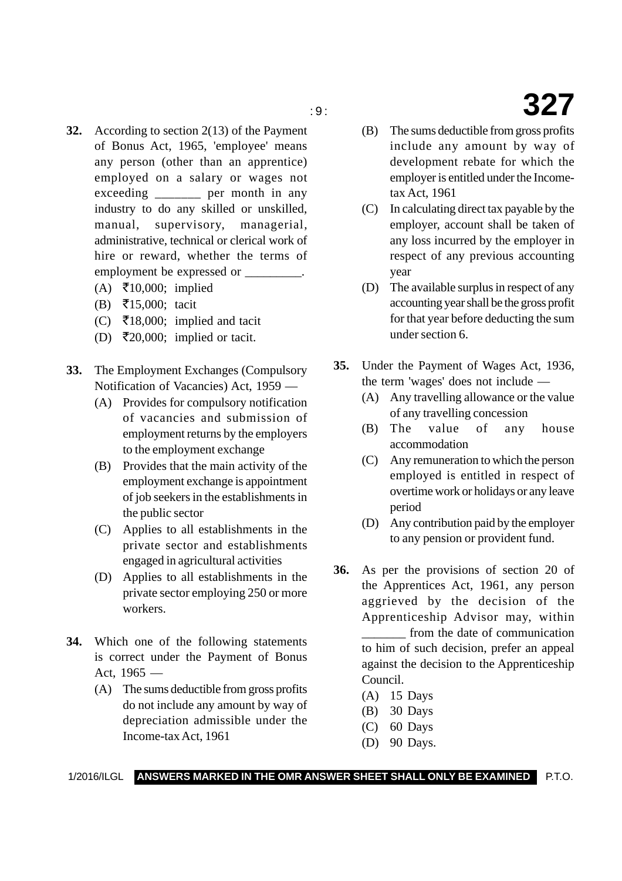- **32.** According to section 2(13) of the Payment of Bonus Act, 1965, 'employee' means any person (other than an apprentice) employed on a salary or wages not exceeding the per month in any industry to do any skilled or unskilled, manual, supervisory, managerial, administrative, technical or clerical work of hire or reward, whether the terms of employment be expressed or \_\_\_\_\_\_\_\_\_.
	- (A) ₹10,000; implied
	- (B) -15,000; tacit
	- (C) ₹18,000; implied and tacit
	- (D) ₹20,000; implied or tacit.
- **33.** The Employment Exchanges (Compulsory Notification of Vacancies) Act, 1959 —
	- (A) Provides for compulsory notification of vacancies and submission of employment returns by the employers to the employment exchange
	- (B) Provides that the main activity of the employment exchange is appointment of job seekers in the establishments in the public sector
	- (C) Applies to all establishments in the private sector and establishments engaged in agricultural activities
	- (D) Applies to all establishments in the private sector employing 250 or more workers.
- **34.** Which one of the following statements is correct under the Payment of Bonus Act, 1965 —
	- (A) The sums deductible from gross profits do not include any amount by way of depreciation admissible under the Income-tax Act, 1961
- (B) The sums deductible from gross profits include any amount by way of development rebate for which the employer is entitled under the Incometax Act, 1961
- (C) In calculating direct tax payable by the employer, account shall be taken of any loss incurred by the employer in respect of any previous accounting year
- (D) The available surplus in respect of any accounting year shall be the gross profit for that year before deducting the sum under section 6.
- **35.** Under the Payment of Wages Act, 1936, the term 'wages' does not include —
	- (A) Any travelling allowance or the value of any travelling concession
	- (B) The value of any house accommodation
	- (C) Any remuneration to which the person employed is entitled in respect of overtime work or holidays or any leave period
	- (D) Any contribution paid by the employer to any pension or provident fund.
- **36.** As per the provisions of section 20 of the Apprentices Act, 1961, any person aggrieved by the decision of the Apprenticeship Advisor may, within \_\_\_\_\_\_\_ from the date of communication to him of such decision, prefer an appeal against the decision to the Apprenticeship Council.
	- (A) 15 Days
	- (B) 30 Days
	- (C) 60 Days
	- (D) 90 Days.

# **327**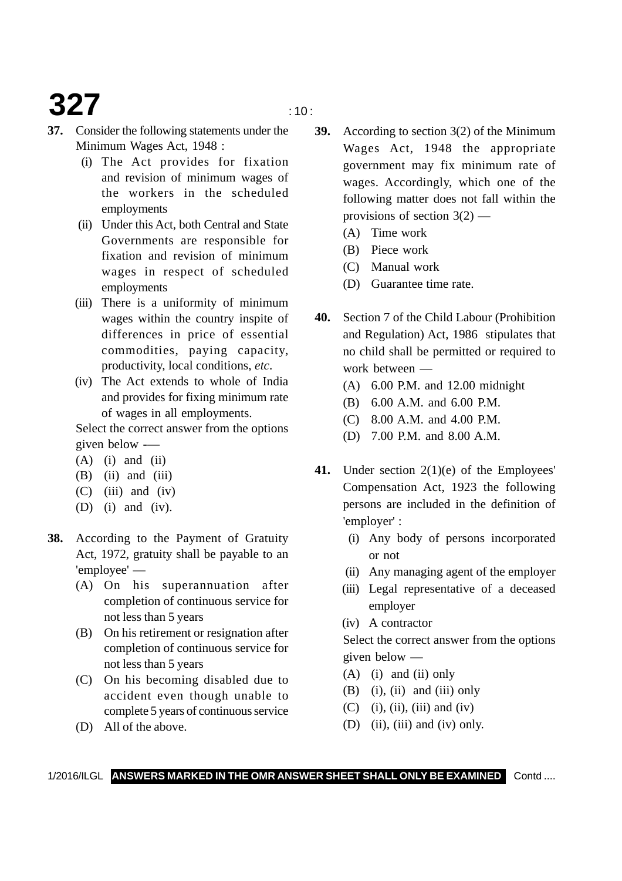# **327**  $\frac{10}{20}$

- 
- **37.** Consider the following statements under the Minimum Wages Act, 1948 :
	- (i) The Act provides for fixation and revision of minimum wages of the workers in the scheduled employments
	- (ii) Under this Act, both Central and State Governments are responsible for fixation and revision of minimum wages in respect of scheduled employments
	- (iii) There is a uniformity of minimum wages within the country inspite of differences in price of essential commodities, paying capacity, productivity, local conditions, *etc*.
	- (iv) The Act extends to whole of India and provides for fixing minimum rate of wages in all employments.

Select the correct answer from the options given below -—

- $(A)$  (i) and (ii)
- $(B)$  (ii) and (iii)
- $(C)$  (iii) and (iv)
- (D) (i) and (iv).
- **38.** According to the Payment of Gratuity Act, 1972, gratuity shall be payable to an 'employee' —
	- (A) On his superannuation after completion of continuous service for not less than 5 years
	- (B) On his retirement or resignation after completion of continuous service for not less than 5 years
	- (C) On his becoming disabled due to accident even though unable to complete 5 years of continuous service
	- (D) All of the above.
- **39.** According to section 3(2) of the Minimum Wages Act, 1948 the appropriate government may fix minimum rate of wages. Accordingly, which one of the following matter does not fall within the provisions of section  $3(2)$  —
	- (A) Time work
	- (B) Piece work
	- (C) Manual work
	- (D) Guarantee time rate.
- **40.** Section 7 of the Child Labour (Prohibition and Regulation) Act, 1986 stipulates that no child shall be permitted or required to work between —
	- (A) 6.00 P.M. and 12.00 midnight
	- (B) 6.00 A.M. and 6.00 P.M.
	- (C) 8.00 A.M. and 4.00 P.M.
	- (D) 7.00 P.M. and 8.00 A.M.
- **41.** Under section 2(1)(e) of the Employees' Compensation Act, 1923 the following persons are included in the definition of 'employer' :
	- (i) Any body of persons incorporated or not
	- (ii) Any managing agent of the employer
	- (iii) Legal representative of a deceased employer
	- (iv) A contractor

Select the correct answer from the options given below —

- (A) (i) and (ii) only
- $(B)$  (i), (ii) and (iii) only
- $(C)$  (i), (ii), (iii) and (iv)
- (D) (ii), (iii) and (iv) only.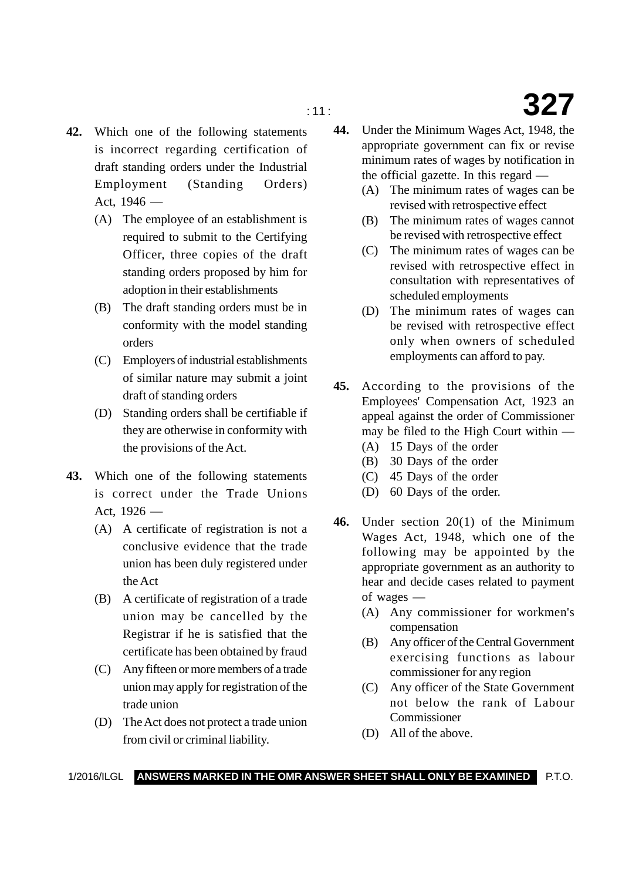- **42.** Which one of the following statements is incorrect regarding certification of draft standing orders under the Industrial Employment (Standing Orders) Act, 1946 —
	- (A) The employee of an establishment is required to submit to the Certifying Officer, three copies of the draft standing orders proposed by him for adoption in their establishments
	- (B) The draft standing orders must be in conformity with the model standing orders
	- (C) Employers of industrial establishments of similar nature may submit a joint draft of standing orders
	- (D) Standing orders shall be certifiable if they are otherwise in conformity with the provisions of the Act.
- **43.** Which one of the following statements is correct under the Trade Unions Act.  $1926 -$ 
	- (A) A certificate of registration is not a conclusive evidence that the trade union has been duly registered under the Act
	- (B) A certificate of registration of a trade union may be cancelled by the Registrar if he is satisfied that the certificate has been obtained by fraud
	- (C) Any fifteen or more members of a trade union may apply for registration of the trade union
	- (D) The Act does not protect a trade union from civil or criminal liability.
- **44.** Under the Minimum Wages Act, 1948, the appropriate government can fix or revise minimum rates of wages by notification in the official gazette. In this regard —
	- (A) The minimum rates of wages can be revised with retrospective effect
	- (B) The minimum rates of wages cannot be revised with retrospective effect
	- (C) The minimum rates of wages can be revised with retrospective effect in consultation with representatives of scheduled employments
	- (D) The minimum rates of wages can be revised with retrospective effect only when owners of scheduled employments can afford to pay.
- **45.** According to the provisions of the Employees' Compensation Act, 1923 an appeal against the order of Commissioner may be filed to the High Court within —
	- (A) 15 Days of the order
	- (B) 30 Days of the order
	- (C) 45 Days of the order
	- (D) 60 Days of the order.
- **46.** Under section 20(1) of the Minimum Wages Act, 1948, which one of the following may be appointed by the appropriate government as an authority to hear and decide cases related to payment of wages —
	- (A) Any commissioner for workmen's compensation
	- (B) Any officer of the Central Government exercising functions as labour commissioner for any region
	- (C) Any officer of the State Government not below the rank of Labour Commissioner
	- (D) All of the above.

## : 11 : **327**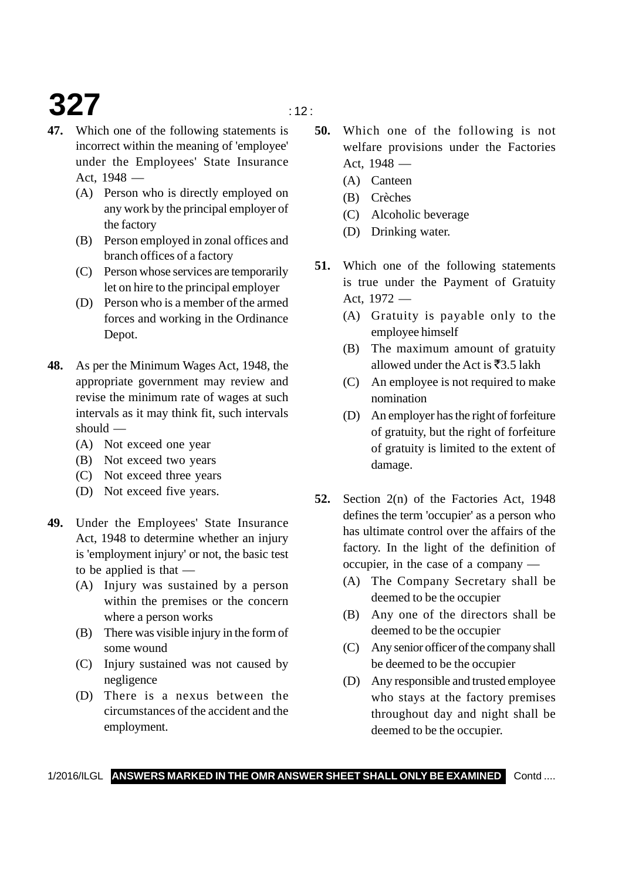# **327**  $\frac{1}{2}$

- **47.** Which one of the following statements is incorrect within the meaning of 'employee' under the Employees' State Insurance Act, 1948 —
	- (A) Person who is directly employed on any work by the principal employer of the factory
	- (B) Person employed in zonal offices and branch offices of a factory
	- (C) Person whose services are temporarily let on hire to the principal employer
	- (D) Person who is a member of the armed forces and working in the Ordinance Depot.
- **48.** As per the Minimum Wages Act, 1948, the appropriate government may review and revise the minimum rate of wages at such intervals as it may think fit, such intervals should —
	- (A) Not exceed one year
	- (B) Not exceed two years
	- (C) Not exceed three years
	- (D) Not exceed five years.
- **49.** Under the Employees' State Insurance Act, 1948 to determine whether an injury is 'employment injury' or not, the basic test to be applied is that —
	- (A) Injury was sustained by a person within the premises or the concern where a person works
	- (B) There was visible injury in the form of some wound
	- (C) Injury sustained was not caused by negligence
	- (D) There is a nexus between the circumstances of the accident and the employment.
- **50.** Which one of the following is not welfare provisions under the Factories Act, 1948 —
	- (A) Canteen
	- (B) Crèches
	- (C) Alcoholic beverage
	- (D) Drinking water.
- **51.** Which one of the following statements is true under the Payment of Gratuity Act, 1972 —
	- (A) Gratuity is payable only to the employee himself
	- (B) The maximum amount of gratuity allowed under the Act is  $\bar{z}$ 3.5 lakh
	- (C) An employee is not required to make nomination
	- (D) An employer has the right of forfeiture of gratuity, but the right of forfeiture of gratuity is limited to the extent of damage.
- **52.** Section 2(n) of the Factories Act, 1948 defines the term 'occupier' as a person who has ultimate control over the affairs of the factory. In the light of the definition of occupier, in the case of a company —
	- (A) The Company Secretary shall be deemed to be the occupier
	- (B) Any one of the directors shall be deemed to be the occupier
	- (C) Any senior officer of the company shall be deemed to be the occupier
	- (D) Any responsible and trusted employee who stays at the factory premises throughout day and night shall be deemed to be the occupier.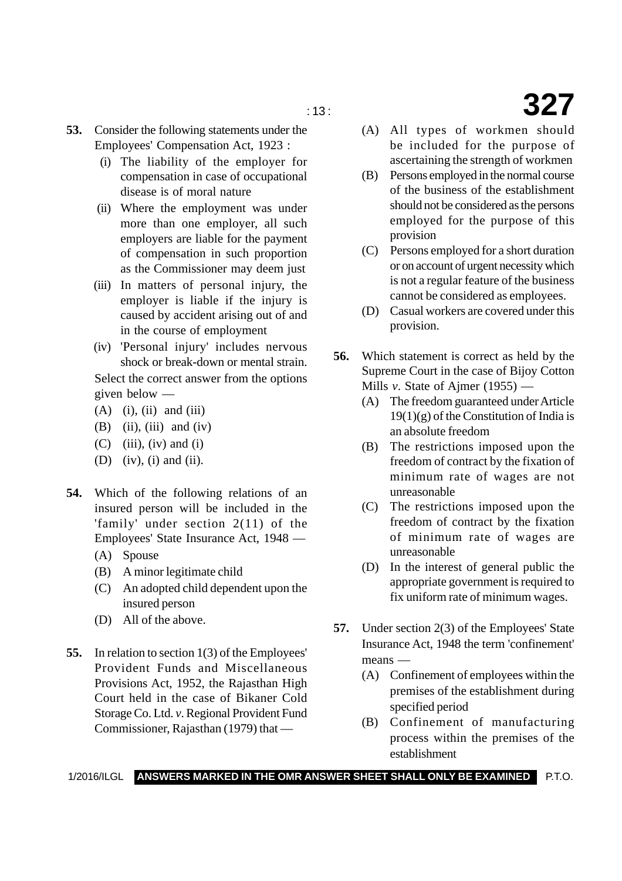: 13 : **327**

- **53.** Consider the following statements under the Employees' Compensation Act, 1923 :
	- (i) The liability of the employer for compensation in case of occupational disease is of moral nature
	- (ii) Where the employment was under more than one employer, all such employers are liable for the payment of compensation in such proportion as the Commissioner may deem just
	- (iii) In matters of personal injury, the employer is liable if the injury is caused by accident arising out of and in the course of employment
	- (iv) 'Personal injury' includes nervous shock or break-down or mental strain. Select the correct answer from the options given below —
	- $(A)$  (i), (ii) and (iii)
	- $(B)$  (ii), (iii) and (iv)
	- $(C)$  (iii), (iv) and (i)
	- (D) (iv), (i) and (ii).
- **54.** Which of the following relations of an insured person will be included in the 'family' under section 2(11) of the Employees' State Insurance Act, 1948 —
	- (A) Spouse
	- (B) A minor legitimate child
	- (C) An adopted child dependent upon the insured person
	- (D) All of the above.
- **55.** In relation to section 1(3) of the Employees' Provident Funds and Miscellaneous Provisions Act, 1952, the Rajasthan High Court held in the case of Bikaner Cold Storage Co. Ltd. *v*. Regional Provident Fund Commissioner, Rajasthan (1979) that —
- (A) All types of workmen should be included for the purpose of ascertaining the strength of workmen
- (B) Persons employed in the normal course of the business of the establishment should not be considered as the persons employed for the purpose of this provision
- (C) Persons employed for a short duration or on account of urgent necessity which is not a regular feature of the business cannot be considered as employees.
- (D) Casual workers are covered under this provision.
- **56.** Which statement is correct as held by the Supreme Court in the case of Bijoy Cotton Mills *v*. State of Ajmer (1955) —
	- (A) The freedom guaranteed under Article  $19(1)(g)$  of the Constitution of India is an absolute freedom
	- (B) The restrictions imposed upon the freedom of contract by the fixation of minimum rate of wages are not unreasonable
	- (C) The restrictions imposed upon the freedom of contract by the fixation of minimum rate of wages are unreasonable
	- (D) In the interest of general public the appropriate government is required to fix uniform rate of minimum wages.
- **57.** Under section 2(3) of the Employees' State Insurance Act, 1948 the term 'confinement' means —
	- (A) Confinement of employees within the premises of the establishment during specified period
	- (B) Confinement of manufacturing process within the premises of the establishment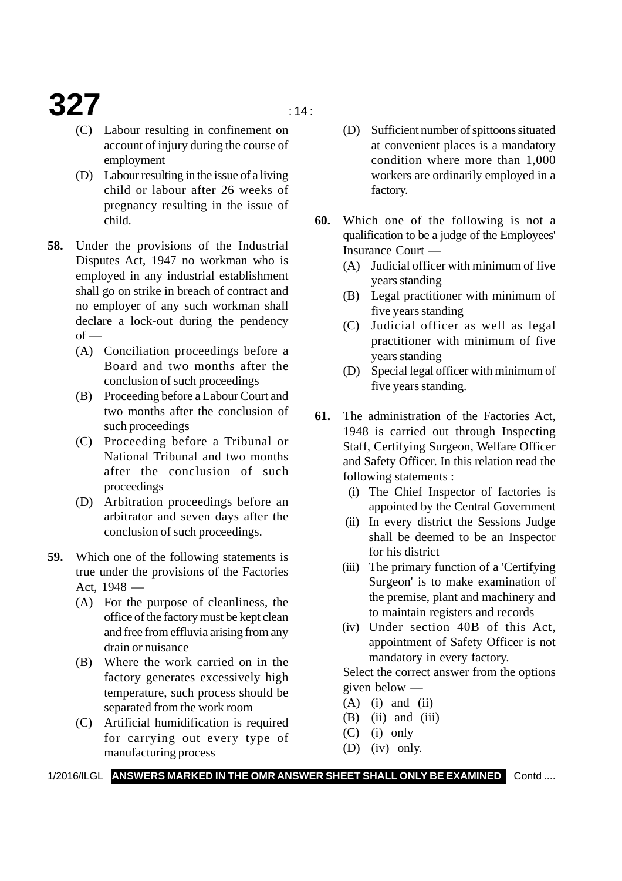## **327**  $\frac{14}{14}$

- (C) Labour resulting in confinement on account of injury during the course of employment
- (D) Labour resulting in the issue of a living child or labour after 26 weeks of pregnancy resulting in the issue of child.
- **58.** Under the provisions of the Industrial Disputes Act, 1947 no workman who is employed in any industrial establishment shall go on strike in breach of contract and no employer of any such workman shall declare a lock-out during the pendency  $of$  —
	- (A) Conciliation proceedings before a Board and two months after the conclusion of such proceedings
	- (B) Proceeding before a Labour Court and two months after the conclusion of such proceedings
	- (C) Proceeding before a Tribunal or National Tribunal and two months after the conclusion of such proceedings
	- (D) Arbitration proceedings before an arbitrator and seven days after the conclusion of such proceedings.
- **59.** Which one of the following statements is true under the provisions of the Factories Act, 1948 —
	- (A) For the purpose of cleanliness, the office of the factory must be kept clean and free from effluvia arising from any drain or nuisance
	- (B) Where the work carried on in the factory generates excessively high temperature, such process should be separated from the work room
	- (C) Artificial humidification is required for carrying out every type of manufacturing process
- (D) Sufficient number of spittoons situated at convenient places is a mandatory condition where more than 1,000 workers are ordinarily employed in a factory.
- **60.** Which one of the following is not a qualification to be a judge of the Employees' Insurance Court —
	- (A) Judicial officer with minimum of five years standing
	- (B) Legal practitioner with minimum of five years standing
	- (C) Judicial officer as well as legal practitioner with minimum of five years standing
	- (D) Special legal officer with minimum of five years standing.
- **61.** The administration of the Factories Act, 1948 is carried out through Inspecting Staff, Certifying Surgeon, Welfare Officer and Safety Officer. In this relation read the following statements :
	- (i) The Chief Inspector of factories is appointed by the Central Government
	- (ii) In every district the Sessions Judge shall be deemed to be an Inspector for his district
	- (iii) The primary function of a 'Certifying Surgeon' is to make examination of the premise, plant and machinery and to maintain registers and records
	- (iv) Under section 40B of this Act, appointment of Safety Officer is not mandatory in every factory.

Select the correct answer from the options given below —

- $(A)$  (i) and (ii)
- $(B)$  (ii) and (iii)
- (C) (i) only
- (D) (iv) only.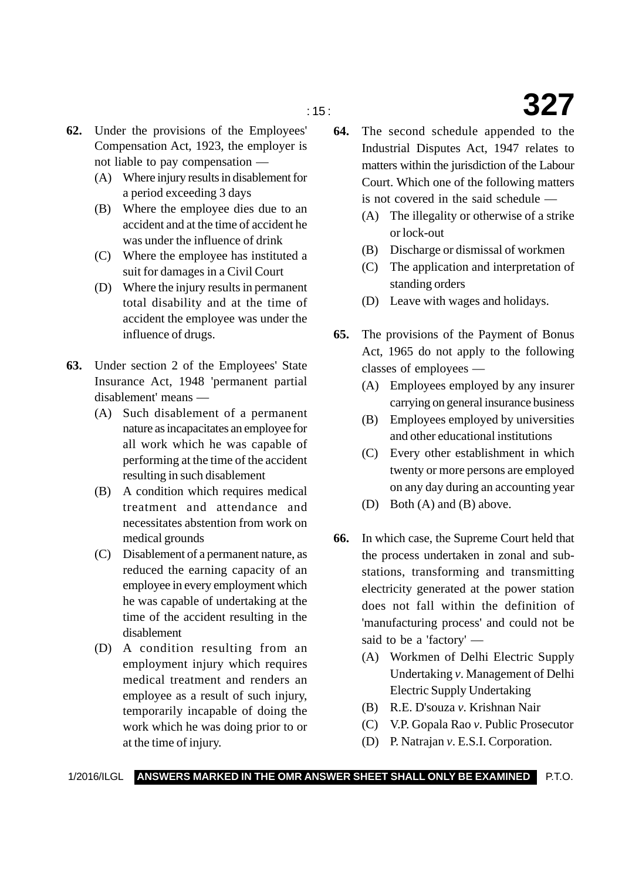- **62.** Under the provisions of the Employees' Compensation Act, 1923, the employer is not liable to pay compensation —
	- (A) Where injury results in disablement for a period exceeding 3 days
	- (B) Where the employee dies due to an accident and at the time of accident he was under the influence of drink
	- (C) Where the employee has instituted a suit for damages in a Civil Court
	- (D) Where the injury results in permanent total disability and at the time of accident the employee was under the influence of drugs.
- **63.** Under section 2 of the Employees' State Insurance Act, 1948 'permanent partial disablement' means —
	- (A) Such disablement of a permanent nature as incapacitates an employee for all work which he was capable of performing at the time of the accident resulting in such disablement
	- (B) A condition which requires medical treatment and attendance and necessitates abstention from work on medical grounds
	- (C) Disablement of a permanent nature, as reduced the earning capacity of an employee in every employment which he was capable of undertaking at the time of the accident resulting in the disablement
	- (D) A condition resulting from an employment injury which requires medical treatment and renders an employee as a result of such injury, temporarily incapable of doing the work which he was doing prior to or at the time of injury.
- **64.** The second schedule appended to the Industrial Disputes Act, 1947 relates to matters within the jurisdiction of the Labour Court. Which one of the following matters is not covered in the said schedule —
	- (A) The illegality or otherwise of a strike or lock-out
	- (B) Discharge or dismissal of workmen
	- (C) The application and interpretation of standing orders
	- (D) Leave with wages and holidays.
- **65.** The provisions of the Payment of Bonus Act, 1965 do not apply to the following classes of employees —
	- (A) Employees employed by any insurer carrying on general insurance business
	- (B) Employees employed by universities and other educational institutions
	- (C) Every other establishment in which twenty or more persons are employed on any day during an accounting year
	- (D) Both (A) and (B) above.
- **66.** In which case, the Supreme Court held that the process undertaken in zonal and substations, transforming and transmitting electricity generated at the power station does not fall within the definition of 'manufacturing process' and could not be said to be a 'factory' —
	- (A) Workmen of Delhi Electric Supply Undertaking *v*. Management of Delhi Electric Supply Undertaking
	- (B) R.E. D'souza *v*. Krishnan Nair
	- (C) V.P. Gopala Rao *v*. Public Prosecutor
	- (D) P. Natrajan *v*. E.S.I. Corporation.

## : 15 : **327**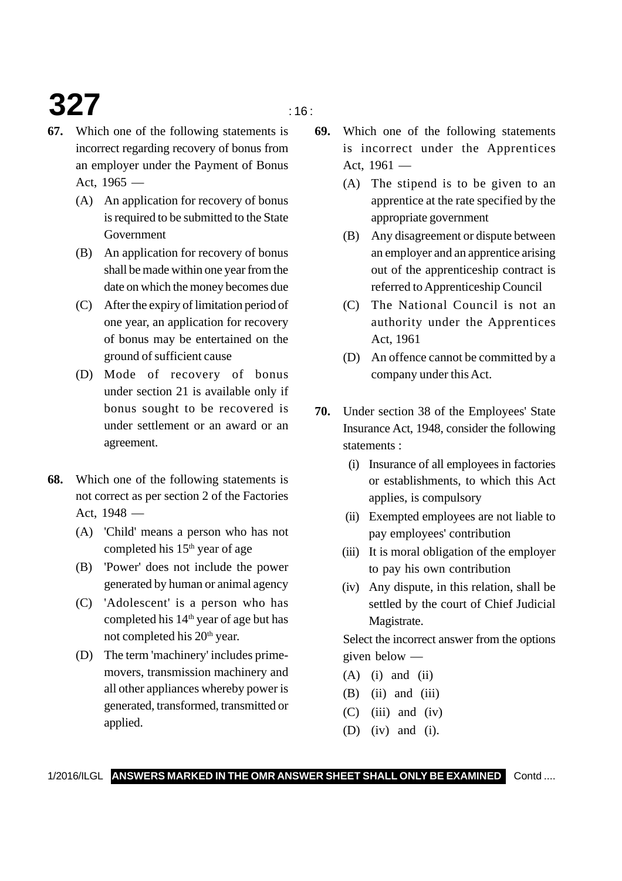# **327** in the set of  $\frac{16}{16}$

- **67.** Which one of the following statements is incorrect regarding recovery of bonus from an employer under the Payment of Bonus Act.  $1965 -$ 
	- (A) An application for recovery of bonus is required to be submitted to the State Government
	- (B) An application for recovery of bonus shall be made within one year from the date on which the money becomes due
	- (C) After the expiry of limitation period of one year, an application for recovery of bonus may be entertained on the ground of sufficient cause
	- (D) Mode of recovery of bonus under section 21 is available only if bonus sought to be recovered is under settlement or an award or an agreement.
- **68.** Which one of the following statements is not correct as per section 2 of the Factories Act, 1948 —
	- (A) 'Child' means a person who has not completed his 15<sup>th</sup> year of age
	- (B) 'Power' does not include the power generated by human or animal agency
	- (C) 'Adolescent' is a person who has completed his 14<sup>th</sup> year of age but has not completed his 20<sup>th</sup> year.
	- (D) The term 'machinery' includes primemovers, transmission machinery and all other appliances whereby power is generated, transformed, transmitted or applied.
- **69.** Which one of the following statements is incorrect under the Apprentices Act, 1961 —
	- (A) The stipend is to be given to an apprentice at the rate specified by the appropriate government
	- (B) Any disagreement or dispute between an employer and an apprentice arising out of the apprenticeship contract is referred to Apprenticeship Council
	- (C) The National Council is not an authority under the Apprentices Act, 1961
	- (D) An offence cannot be committed by a company under this Act.
- **70.** Under section 38 of the Employees' State Insurance Act, 1948, consider the following statements :
	- (i) Insurance of all employees in factories or establishments, to which this Act applies, is compulsory
	- (ii) Exempted employees are not liable to pay employees' contribution
	- (iii) It is moral obligation of the employer to pay his own contribution
	- (iv) Any dispute, in this relation, shall be settled by the court of Chief Judicial Magistrate.

Select the incorrect answer from the options given below —

- $(A)$  (i) and (ii)
- $(B)$  (ii) and (iii)
- $(C)$  (iii) and (iv)
- (D) (iv) and (i).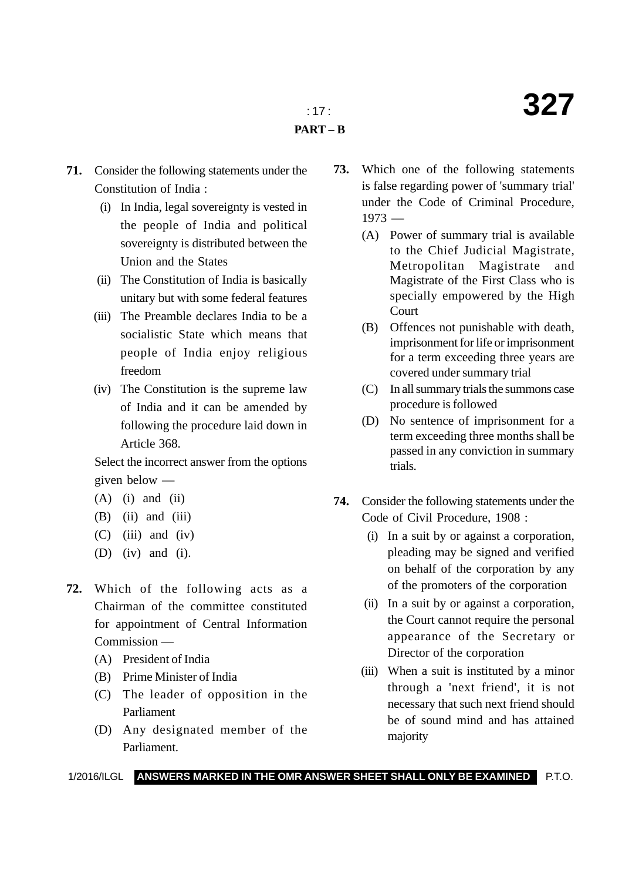- **71.** Consider the following statements under the Constitution of India :
	- (i) In India, legal sovereignty is vested in the people of India and political sovereignty is distributed between the Union and the States
	- (ii) The Constitution of India is basically unitary but with some federal features
	- (iii) The Preamble declares India to be a socialistic State which means that people of India enjoy religious freedom
	- (iv) The Constitution is the supreme law of India and it can be amended by following the procedure laid down in Article 368.

Select the incorrect answer from the options given below —

- $(A)$  (i) and (ii)
- $(B)$  (ii) and (iii)
- $(C)$  (iii) and (iv)
- (D) (iv) and (i).
- **72.** Which of the following acts as a Chairman of the committee constituted for appointment of Central Information Commission —
	- (A) President of India
	- (B) Prime Minister of India
	- (C) The leader of opposition in the Parliament
	- (D) Any designated member of the Parliament.
- **73.** Which one of the following statements is false regarding power of 'summary trial' under the Code of Criminal Procedure,  $1973 -$ 
	- (A) Power of summary trial is available to the Chief Judicial Magistrate, Metropolitan Magistrate and Magistrate of the First Class who is specially empowered by the High Court
	- (B) Offences not punishable with death, imprisonment for life or imprisonment for a term exceeding three years are covered under summary trial
	- (C) In all summary trials the summons case procedure is followed
	- (D) No sentence of imprisonment for a term exceeding three months shall be passed in any conviction in summary trials.
- **74.** Consider the following statements under the Code of Civil Procedure, 1908 :
	- (i) In a suit by or against a corporation, pleading may be signed and verified on behalf of the corporation by any of the promoters of the corporation
	- (ii) In a suit by or against a corporation, the Court cannot require the personal appearance of the Secretary or Director of the corporation
	- (iii) When a suit is instituted by a minor through a 'next friend', it is not necessary that such next friend should be of sound mind and has attained majority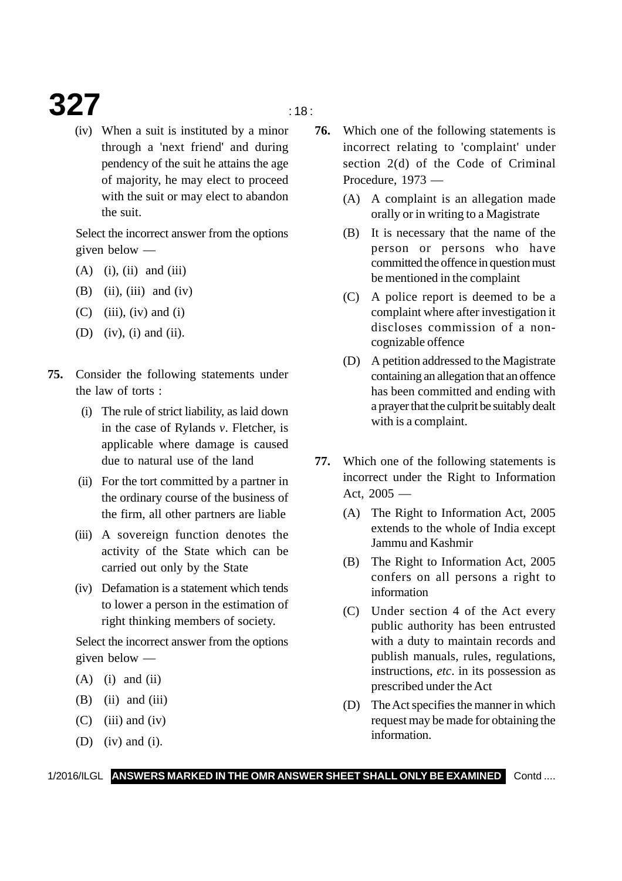### **327** in the set of  $\frac{1}{18}$  is the set of  $\frac{1}{18}$  is the set of  $\frac{1}{18}$  is the set of  $\frac{1}{18}$  is the set of  $\frac{1}{18}$  is the set of  $\frac{1}{18}$  is the set of  $\frac{1}{18}$  is the set of  $\frac{1}{18}$  is the set of  $\$

(iv) When a suit is instituted by a minor through a 'next friend' and during pendency of the suit he attains the age of majority, he may elect to proceed with the suit or may elect to abandon the suit.

Select the incorrect answer from the options given below —

- $(A)$  (i), (ii) and (iii)
- $(B)$  (ii), (iii) and (iv)
- $(C)$  (iii), (iv) and (i)
- (D) (iv), (i) and (ii).
- **75.** Consider the following statements under the law of torts :
	- (i) The rule of strict liability, as laid down in the case of Rylands *v*. Fletcher, is applicable where damage is caused due to natural use of the land
	- (ii) For the tort committed by a partner in the ordinary course of the business of the firm, all other partners are liable
	- (iii) A sovereign function denotes the activity of the State which can be carried out only by the State
	- (iv) Defamation is a statement which tends to lower a person in the estimation of right thinking members of society.

Select the incorrect answer from the options given below —

- $(A)$  (i) and (ii)
- $(B)$  (ii) and (iii)
- $(C)$  (iii) and (iv)
- (D) (iv) and (i).
- **76.** Which one of the following statements is incorrect relating to 'complaint' under section 2(d) of the Code of Criminal Procedure, 1973 —
	- (A) A complaint is an allegation made orally or in writing to a Magistrate
	- (B) It is necessary that the name of the person or persons who have committed the offence in question must be mentioned in the complaint
	- (C) A police report is deemed to be a complaint where after investigation it discloses commission of a noncognizable offence
	- (D) A petition addressed to the Magistrate containing an allegation that an offence has been committed and ending with a prayer that the culprit be suitably dealt with is a complaint.
- **77.** Which one of the following statements is incorrect under the Right to Information Act, 2005 —
	- (A) The Right to Information Act, 2005 extends to the whole of India except Jammu and Kashmir
	- (B) The Right to Information Act, 2005 confers on all persons a right to information
	- (C) Under section 4 of the Act every public authority has been entrusted with a duty to maintain records and publish manuals, rules, regulations, instructions, *etc*. in its possession as prescribed under the Act
	- (D) The Act specifies the manner in which request may be made for obtaining the information.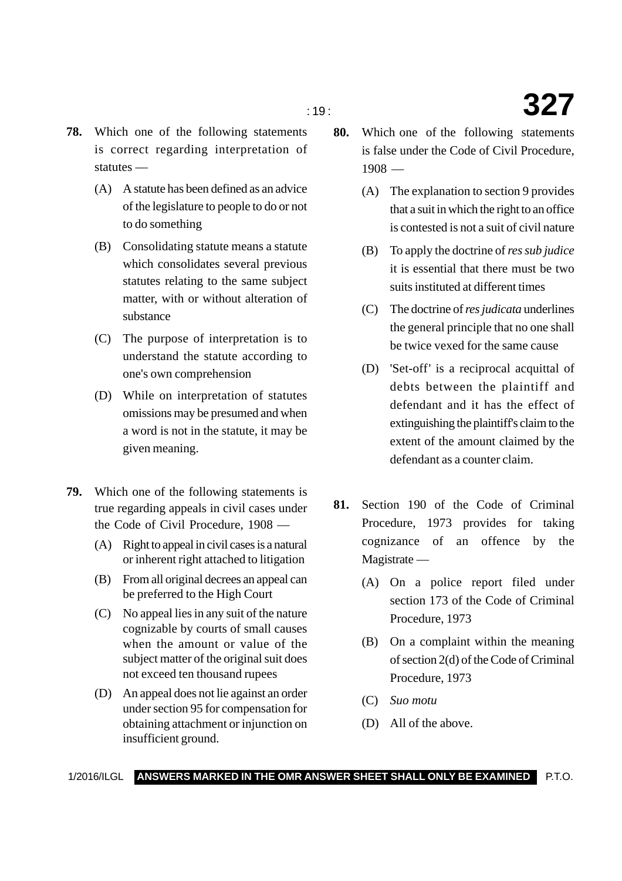- **78.** Which one of the following statements is correct regarding interpretation of statutes —
	- (A) A statute has been defined as an advice of the legislature to people to do or not to do something
	- (B) Consolidating statute means a statute which consolidates several previous statutes relating to the same subject matter, with or without alteration of substance
	- (C) The purpose of interpretation is to understand the statute according to one's own comprehension
	- (D) While on interpretation of statutes omissions may be presumed and when a word is not in the statute, it may be given meaning.
- **79.** Which one of the following statements is true regarding appeals in civil cases under the Code of Civil Procedure, 1908 —
	- (A) Right to appeal in civil cases is a natural or inherent right attached to litigation
	- (B) From all original decrees an appeal can be preferred to the High Court
	- (C) No appeal lies in any suit of the nature cognizable by courts of small causes when the amount or value of the subject matter of the original suit does not exceed ten thousand rupees
	- (D) An appeal does not lie against an order under section 95 for compensation for obtaining attachment or injunction on insufficient ground.
- **80.** Which one of the following statements is false under the Code of Civil Procedure, 1908 —
	- (A) The explanation to section 9 provides that a suit in which the right to an office is contested is not a suit of civil nature
	- (B) To apply the doctrine of *res sub judice* it is essential that there must be two suits instituted at different times
	- (C) The doctrine of *res judicata* underlines the general principle that no one shall be twice vexed for the same cause
	- (D) 'Set-off' is a reciprocal acquittal of debts between the plaintiff and defendant and it has the effect of extinguishing the plaintiff's claim to the extent of the amount claimed by the defendant as a counter claim.
- **81.** Section 190 of the Code of Criminal Procedure, 1973 provides for taking cognizance of an offence by the Magistrate —
	- (A) On a police report filed under section 173 of the Code of Criminal Procedure, 1973
	- (B) On a complaint within the meaning of section 2(d) of the Code of Criminal Procedure, 1973
	- (C) *Suo motu*
	- (D) All of the above.

#### 1/2016/ILGL **ANSWERS MARKED IN THE OMR ANSWER SHEET SHALL ONLY BE EXAMINED** P.T.O.

### : 19 : **327**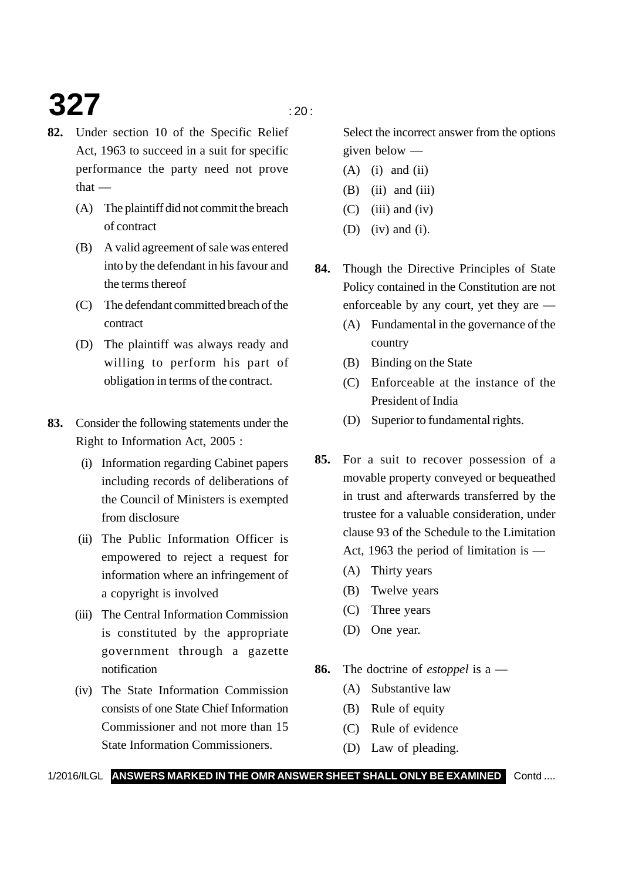# **327**  $\frac{1}{20}$

- **82.** Under section 10 of the Specific Relief Act, 1963 to succeed in a suit for specific performance the party need not prove  $that -$ 
	- (A) The plaintiff did not commit the breach of contract
	- (B) A valid agreement of sale was entered into by the defendant in his favour and the terms thereof
	- (C) The defendant committed breach of the contract
	- (D) The plaintiff was always ready and willing to perform his part of obligation in terms of the contract.
- **83.** Consider the following statements under the Right to Information Act, 2005 :
	- (i) Information regarding Cabinet papers including records of deliberations of the Council of Ministers is exempted from disclosure
	- (ii) The Public Information Officer is empowered to reject a request for information where an infringement of a copyright is involved
	- (iii) The Central Information Commission is constituted by the appropriate government through a gazette notification
	- (iv) The State Information Commission consists of one State Chief Information Commissioner and not more than 15 State Information Commissioners.

Select the incorrect answer from the options given below —

- $(A)$  (i) and (ii)
- $(B)$  (ii) and (iii)
- $(C)$  (iii) and (iv)
- (D) (iv) and (i).
- **84.** Though the Directive Principles of State Policy contained in the Constitution are not enforceable by any court, yet they are —
	- (A) Fundamental in the governance of the country
	- (B) Binding on the State
	- (C) Enforceable at the instance of the President of India
	- (D) Superior to fundamental rights.
- **85.** For a suit to recover possession of a movable property conveyed or bequeathed in trust and afterwards transferred by the trustee for a valuable consideration, under clause 93 of the Schedule to the Limitation Act, 1963 the period of limitation is —
	- (A) Thirty years
	- (B) Twelve years
	- (C) Three years
	- (D) One year.
- **86.** The doctrine of *estoppel* is a
	- (A) Substantive law
	- (B) Rule of equity
	- (C) Rule of evidence
	- (D) Law of pleading.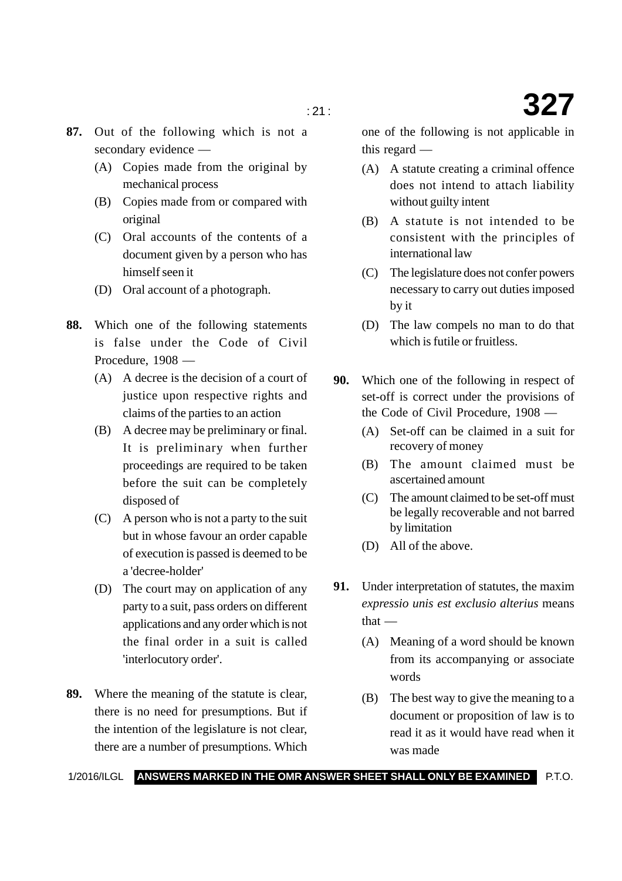- **87.** Out of the following which is not a secondary evidence —
	- (A) Copies made from the original by mechanical process
	- (B) Copies made from or compared with original
	- (C) Oral accounts of the contents of a document given by a person who has himself seen it
	- (D) Oral account of a photograph.
- **88.** Which one of the following statements is false under the Code of Civil Procedure, 1908 —
	- (A) A decree is the decision of a court of justice upon respective rights and claims of the parties to an action
	- (B) A decree may be preliminary or final. It is preliminary when further proceedings are required to be taken before the suit can be completely disposed of
	- (C) A person who is not a party to the suit but in whose favour an order capable of execution is passed is deemed to be a 'decree-holder'
	- (D) The court may on application of any party to a suit, pass orders on different applications and any order which is not the final order in a suit is called 'interlocutory order'.
- **89.** Where the meaning of the statute is clear, there is no need for presumptions. But if the intention of the legislature is not clear, there are a number of presumptions. Which

one of the following is not applicable in this regard —

- (A) A statute creating a criminal offence does not intend to attach liability without guilty intent
- (B) A statute is not intended to be consistent with the principles of international law
- (C) The legislature does not confer powers necessary to carry out duties imposed by it
- (D) The law compels no man to do that which is futile or fruitless.
- **90.** Which one of the following in respect of set-off is correct under the provisions of the Code of Civil Procedure, 1908 —
	- (A) Set-off can be claimed in a suit for recovery of money
	- (B) The amount claimed must be ascertained amount
	- (C) The amount claimed to be set-off must be legally recoverable and not barred by limitation
	- (D) All of the above.
- **91.** Under interpretation of statutes, the maxim *expressio unis est exclusio alterius* means  $that -$ 
	- (A) Meaning of a word should be known from its accompanying or associate words
	- (B) The best way to give the meaning to a document or proposition of law is to read it as it would have read when it was made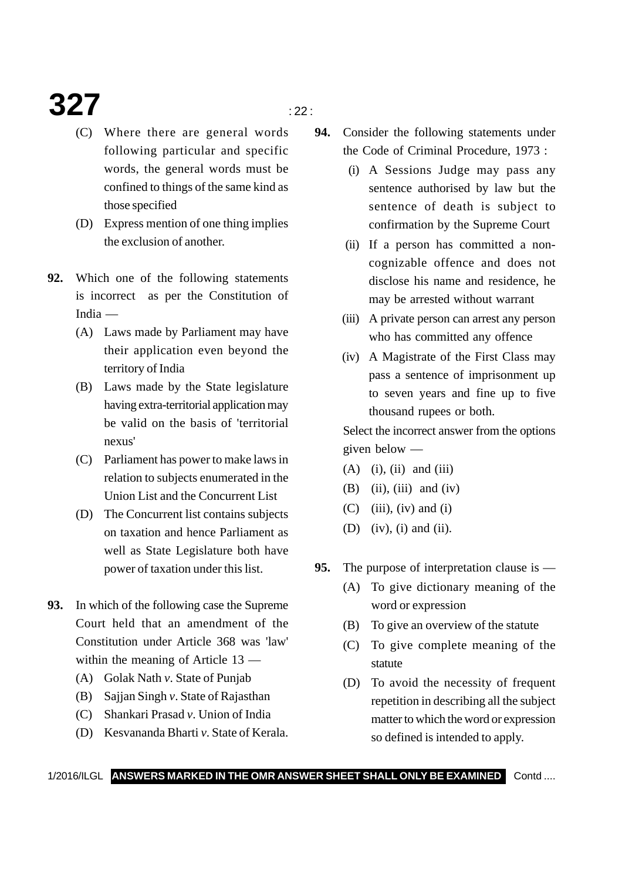## **327**  $\frac{1}{22}$

- (C) Where there are general words following particular and specific words, the general words must be confined to things of the same kind as those specified
- (D) Express mention of one thing implies the exclusion of another.
- **92.** Which one of the following statements is incorrect as per the Constitution of India —
	- (A) Laws made by Parliament may have their application even beyond the territory of India
	- (B) Laws made by the State legislature having extra-territorial application may be valid on the basis of 'territorial nexus'
	- (C) Parliament has power to make laws in relation to subjects enumerated in the Union List and the Concurrent List
	- (D) The Concurrent list contains subjects on taxation and hence Parliament as well as State Legislature both have power of taxation under this list.
- **93.** In which of the following case the Supreme Court held that an amendment of the Constitution under Article 368 was 'law' within the meaning of Article 13 —
	- (A) Golak Nath *v*. State of Punjab
	- (B) Sajjan Singh *v*. State of Rajasthan
	- (C) Shankari Prasad *v*. Union of India
	- (D) Kesvananda Bharti *v*. State of Kerala.
- **94.** Consider the following statements under the Code of Criminal Procedure, 1973 :
	- (i) A Sessions Judge may pass any sentence authorised by law but the sentence of death is subject to confirmation by the Supreme Court
	- (ii) If a person has committed a noncognizable offence and does not disclose his name and residence, he may be arrested without warrant
	- (iii) A private person can arrest any person who has committed any offence
	- (iv) A Magistrate of the First Class may pass a sentence of imprisonment up to seven years and fine up to five thousand rupees or both.

Select the incorrect answer from the options given below —

- $(A)$  (i), (ii) and (iii)
- (B) (ii), (iii) and (iv)
- $(C)$  (iii), (iv) and (i)
- (D) (iv), (i) and (ii).
- **95.** The purpose of interpretation clause is
	- (A) To give dictionary meaning of the word or expression
	- (B) To give an overview of the statute
	- (C) To give complete meaning of the statute
	- (D) To avoid the necessity of frequent repetition in describing all the subject matter to which the word or expression so defined is intended to apply.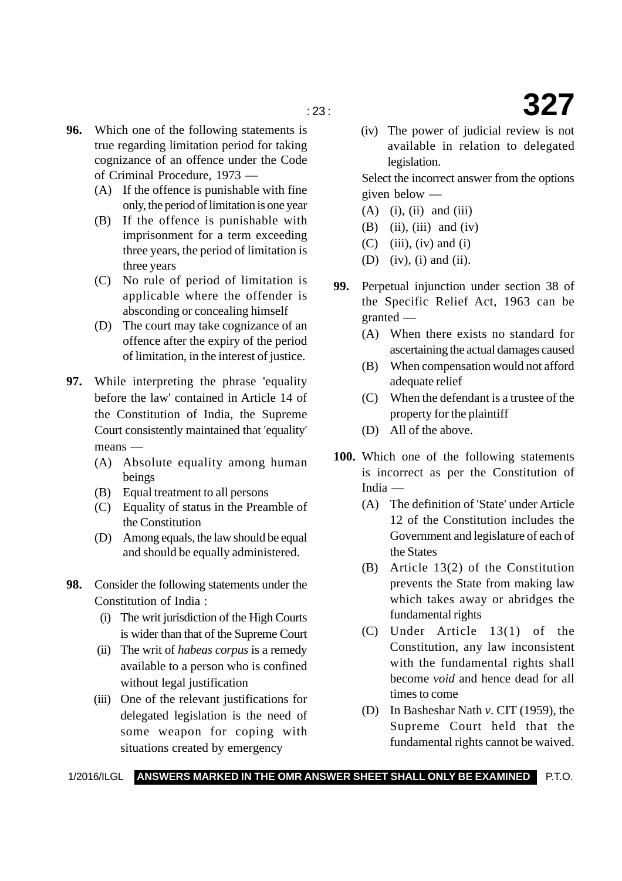- **96.** Which one of the following statements is true regarding limitation period for taking cognizance of an offence under the Code of Criminal Procedure, 1973 —
	- (A) If the offence is punishable with fine only, the period of limitation is one year
	- (B) If the offence is punishable with imprisonment for a term exceeding three years, the period of limitation is three years
	- (C) No rule of period of limitation is applicable where the offender is absconding or concealing himself
	- (D) The court may take cognizance of an offence after the expiry of the period of limitation, in the interest of justice.
- **97.** While interpreting the phrase 'equality before the law' contained in Article 14 of the Constitution of India, the Supreme Court consistently maintained that 'equality' means —
	- (A) Absolute equality among human beings
	- (B) Equal treatment to all persons
	- (C) Equality of status in the Preamble of the Constitution
	- (D) Among equals, the law should be equal and should be equally administered.
- **98.** Consider the following statements under the Constitution of India :
	- (i) The writ jurisdiction of the High Courts is wider than that of the Supreme Court
	- (ii) The writ of *habeas corpus* is a remedy available to a person who is confined without legal justification
	- (iii) One of the relevant justifications for delegated legislation is the need of some weapon for coping with situations created by emergency
- : 23 : **327** (iv) The power of judicial review is not
	- available in relation to delegated legislation.

Select the incorrect answer from the options given below —

- $(A)$  (i), (ii) and (iii)
- $(B)$  (ii), (iii) and (iv)
- $(C)$  (iii), (iv) and (i)
- (D) (iv), (i) and (ii).
- **99.** Perpetual injunction under section 38 of the Specific Relief Act, 1963 can be granted —
	- (A) When there exists no standard for ascertaining the actual damages caused
	- (B) When compensation would not afford adequate relief
	- (C) When the defendant is a trustee of the property for the plaintiff
	- (D) All of the above.
- **100.** Which one of the following statements is incorrect as per the Constitution of India —
	- (A) The definition of 'State' under Article 12 of the Constitution includes the Government and legislature of each of the States
	- (B) Article 13(2) of the Constitution prevents the State from making law which takes away or abridges the fundamental rights
	- (C) Under Article 13(1) of the Constitution, any law inconsistent with the fundamental rights shall become *void* and hence dead for all times to come
	- (D) In Basheshar Nath *v*. CIT (1959), the Supreme Court held that the fundamental rights cannot be waived.